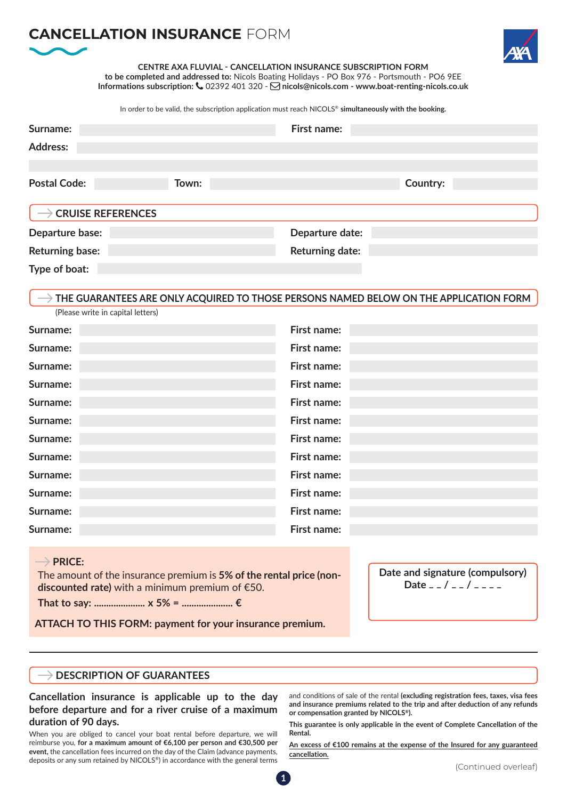# **CANCELLATION INSURANCE** FORM



**CENTRE AXA FLUVIAL - CANCELLATION INSURANCE SUBSCRIPTION FORM to be completed and addressed to:** Nicols Boating Holidays - PO Box 976 - Portsmouth - PO6 9EE **Informations subscription:** 02392 401 320 - **nicols@nicols.com - www.boat-renting-nicols.co.uk**

In order to be valid, the subscription application must reach NICOLS® **simultaneously with the booking.**

| Surname:                        |       | First name:            |          |
|---------------------------------|-------|------------------------|----------|
| <b>Address:</b>                 |       |                        |          |
|                                 |       |                        |          |
| <b>Postal Code:</b>             | Town: |                        | Country: |
|                                 |       |                        |          |
| $\rightarrow$ CRUISE REFERENCES |       |                        |          |
| Departure base:                 |       | Departure date:        |          |
| <b>Returning base:</b>          |       | <b>Returning date:</b> |          |
| Type of boat:                   |       |                        |          |

# **THE GUARANTEES ARE ONLY ACQUIRED TO THOSE PERSONS NAMED BELOW ON THE APPLICATION FORM**

| Surname: | First name: |
|----------|-------------|
|          |             |
| Surname: | First name: |
| Surname: | First name: |
| Surname: | First name: |
| Surname: | First name: |
| Surname: | First name: |
| Surname: | First name: |
| Surname: | First name: |
| Surname: | First name: |
| Surname: | First name: |
| Surname: | First name: |
| Surname: | First name: |

## $\rightarrow$  PRICE:

The amount of the insurance premium is **5% of the rental price (nondiscounted rate)** with a minimum premium of €50.

**That to say: ..................... x 5% = ..................... €**

(Please write in capital letters)

**ATTACH TO THIS FORM: payment for your insurance premium.**

**Date and signature (compulsory) Date \_ \_ / \_ \_ / \_ \_ \_ \_**

## **DESCRIPTION OF GUARANTEES**

**Cancellation insurance is applicable up to the day before departure and for a river cruise of a maximum duration of 90 days.**

When you are obliged to cancel your boat rental before departure, we will reimburse you, **for a maximum amount of €6,100 per person and €30,500 per event,** the cancellation fees incurred on the day of the Claim (advance payments, deposits or any sum retained by NICOLS®) in accordance with the general terms and conditions of sale of the rental **(excluding registration fees, taxes, visa fees and insurance premiums related to the trip and after deduction of any refunds or compensation granted by NICOLS®).**

**This guarantee is only applicable in the event of Complete Cancellation of the Rental.**

**An excess of €100 remains at the expense of the Insured for any guaranteed cancellation.**

**1**